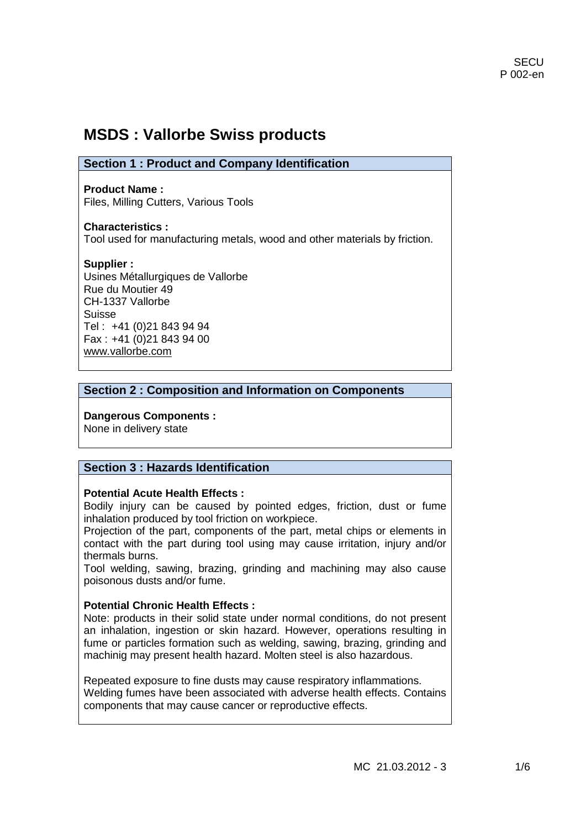# **MSDS : Vallorbe Swiss products**

| <b>Section 1: Product and Company Identification</b> |  |
|------------------------------------------------------|--|
|------------------------------------------------------|--|

**Product Name :** Files, Milling Cutters, Various Tools

**Characteristics :** Tool used for manufacturing metals, wood and other materials by friction.

**Supplier :** Usines Métallurgiques de Vallorbe Rue du Moutier 49 CH-1337 Vallorbe Suisse Tel : +41 (0)21 843 94 94 Fax : +41 (0)21 843 94 00 [www.vallorbe.com](http://www.vallorbe.com/)

## **Section 2 : Composition and Information on Components**

**Dangerous Components :**  None in delivery state

# **Section 3 : Hazards Identification**

#### **Potential Acute Health Effects :**

Bodily injury can be caused by pointed edges, friction, dust or fume inhalation produced by tool friction on workpiece.

Projection of the part, components of the part, metal chips or elements in contact with the part during tool using may cause irritation, injury and/or thermals burns.

Tool welding, sawing, brazing, grinding and machining may also cause poisonous dusts and/or fume.

#### **Potential Chronic Health Effects :**

Note: products in their solid state under normal conditions, do not present an inhalation, ingestion or skin hazard. However, operations resulting in fume or particles formation such as welding, sawing, brazing, grinding and machinig may present health hazard. Molten steel is also hazardous.

Repeated exposure to fine dusts may cause respiratory inflammations. Welding fumes have been associated with adverse health effects. Contains components that may cause cancer or reproductive effects.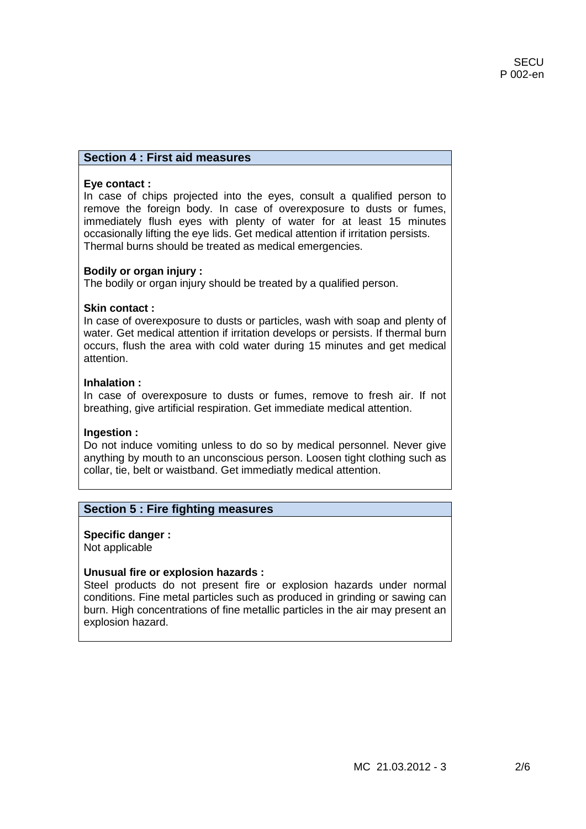## **Section 4 : First aid measures**

#### **Eye contact :**

In case of chips projected into the eyes, consult a qualified person to remove the foreign body. In case of overexposure to dusts or fumes, immediately flush eyes with plenty of water for at least 15 minutes occasionally lifting the eye lids. Get medical attention if irritation persists. Thermal burns should be treated as medical emergencies.

#### **Bodily or organ injury :**

The bodily or organ injury should be treated by a qualified person.

#### **Skin contact :**

In case of overexposure to dusts or particles, wash with soap and plenty of water. Get medical attention if irritation develops or persists. If thermal burn occurs, flush the area with cold water during 15 minutes and get medical attention.

#### **Inhalation :**

In case of overexposure to dusts or fumes, remove to fresh air. If not breathing, give artificial respiration. Get immediate medical attention.

#### **Ingestion :**

Do not induce vomiting unless to do so by medical personnel. Never give anything by mouth to an unconscious person. Loosen tight clothing such as collar, tie, belt or waistband. Get immediatly medical attention.

#### **Section 5 : Fire fighting measures**

**Specific danger :** Not applicable

#### **Unusual fire or explosion hazards :**

Steel products do not present fire or explosion hazards under normal conditions. Fine metal particles such as produced in grinding or sawing can burn. High concentrations of fine metallic particles in the air may present an explosion hazard.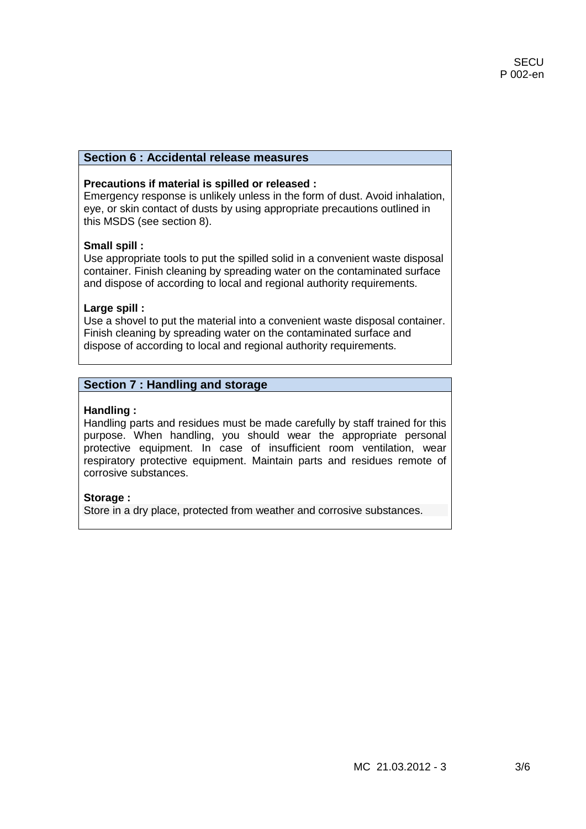## **Section 6 : Accidental release measures**

#### **Precautions if material is spilled or released :**

Emergency response is unlikely unless in the form of dust. Avoid inhalation, eye, or skin contact of dusts by using appropriate precautions outlined in this MSDS (see section 8).

#### **Small spill :**

Use appropriate tools to put the spilled solid in a convenient waste disposal container. Finish cleaning by spreading water on the contaminated surface and dispose of according to local and regional authority requirements.

#### **Large spill :**

Use a shovel to put the material into a convenient waste disposal container. Finish cleaning by spreading water on the contaminated surface and dispose of according to local and regional authority requirements.

## **Section 7 : Handling and storage**

#### **Handling :**

Handling parts and residues must be made carefully by staff trained for this purpose. When handling, you should wear the appropriate personal protective equipment. In case of insufficient room ventilation, wear respiratory protective equipment. Maintain parts and residues remote of corrosive substances.

#### **Storage :**

Store in a dry place, protected from weather and corrosive substances.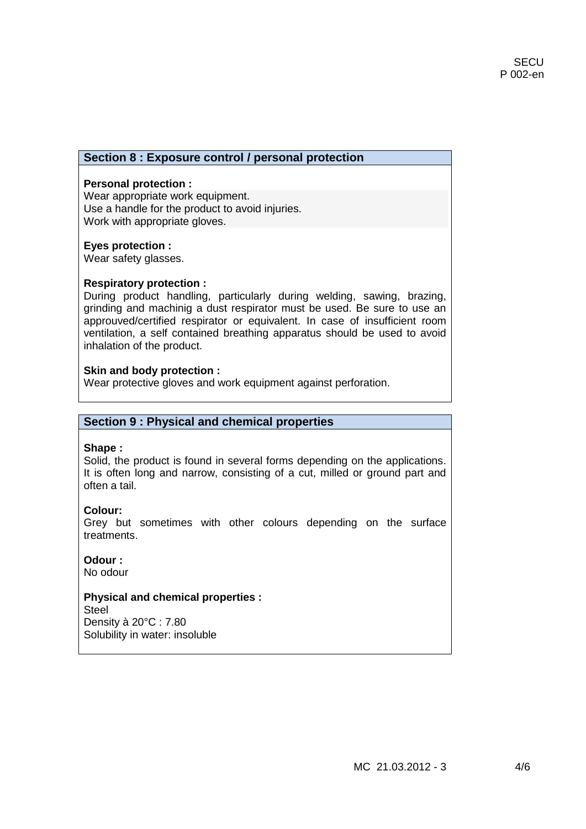## **Section 8 : Exposure control / personal protection**

#### **Personal protection :**

Wear appropriate work equipment. Use a handle for the product to avoid injuries. Work with appropriate gloves.

#### **Eyes protection :**

Wear safety glasses.

#### **Respiratory protection :**

During product handling, particularly during welding, sawing, brazing, grinding and machinig a dust respirator must be used. Be sure to use an approuved/certified respirator or equivalent. In case of insufficient room ventilation, a self contained breathing apparatus should be used to avoid inhalation of the product.

#### **Skin and body protection :**

Wear protective gloves and work equipment against perforation.

#### **Section 9 : Physical and chemical properties**

#### **Shape :**

Solid, the product is found in several forms depending on the applications. It is often long and narrow, consisting of a cut, milled or ground part and often a tail.

#### **Colour:**

Grey but sometimes with other colours depending on the surface treatments.

## **Odour :**

No odour

#### **Physical and chemical properties :**

**Steel** Density à 20°C : 7.80 Solubility in water: insoluble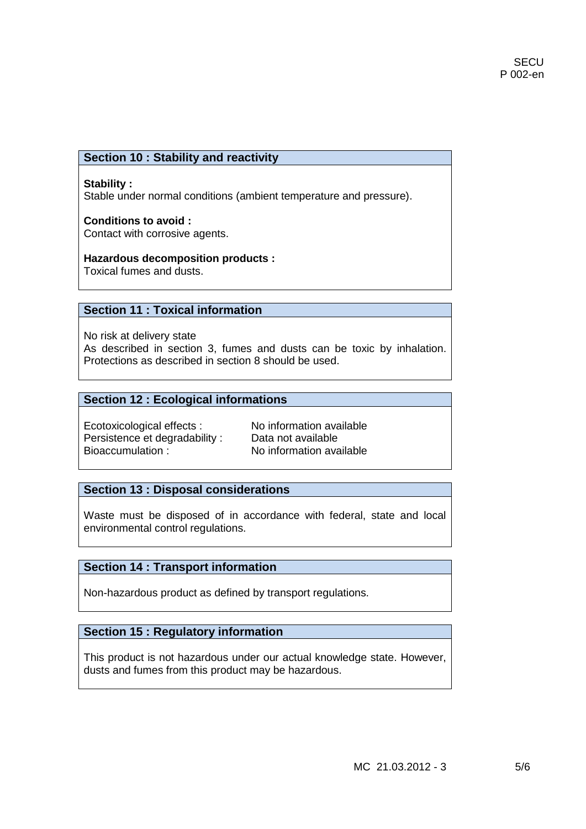# **Section 10 : Stability and reactivity**

#### **Stability :**

Stable under normal conditions (ambient temperature and pressure).

#### **Conditions to avoid :**  Contact with corrosive agents.

**Hazardous decomposition products :**

Toxical fumes and dusts.

# **Section 11 : Toxical information**

No risk at delivery state As described in section 3, fumes and dusts can be toxic by inhalation. Protections as described in section 8 should be used.

## **Section 12 : Ecological informations**

Ecotoxicological effects :<br>
Persistence et degradability : Data not available Persistence et degradability : Bioaccumulation : No information available

#### **Section 13 : Disposal considerations**

Waste must be disposed of in accordance with federal, state and local environmental control regulations.

# **Section 14 : Transport information**

Non-hazardous product as defined by transport regulations.

# **Section 15 : Regulatory information**

This product is not hazardous under our actual knowledge state. However, dusts and fumes from this product may be hazardous.